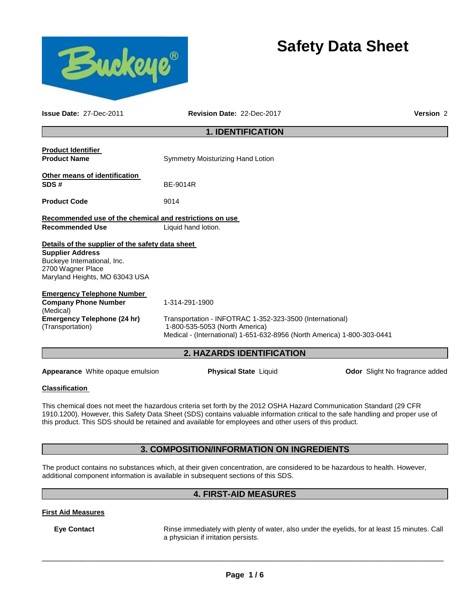

# **Safety Data Sheet**

**Issue Date:** 27-Dec-2011 **Revision Date:** 22-Dec-2017 **Version** 2 **1. IDENTIFICATION Product Identifier Product Name Symmetry Moisturizing Hand Lotion Other means of identification SDS #** BE-9014R **Product Code 9014 Recommended use of the chemical and restrictions on use Recommended Use** Liquid hand lotion. **Details of the supplier of the safety data sheet Supplier Address** Buckeye International, Inc. 2700 Wagner Place Maryland Heights, MO 63043 USA **Emergency Telephone Number Company Phone Number**  (Medical) 1-314-291-1900 **Emergency Telephone (24 hr)**  (Transportation) Transportation - INFOTRAC 1-352-323-3500 (International) 1-800-535-5053 (North America) Medical - (International) 1-651-632-8956 (North America) 1-800-303-0441 **2. HAZARDS IDENTIFICATION Appearance** White opaque emulsion **Physical State** Liquid **Department Condom Odor** Slight No fragrance added

## **Classification**

This chemical does not meet the hazardous criteria set forth by the 2012 OSHA Hazard Communication Standard (29 CFR 1910.1200). However, this Safety Data Sheet (SDS) contains valuable information critical to the safe handling and proper use of this product. This SDS should be retained and available for employees and other users of this product.

# **3. COMPOSITION/INFORMATION ON INGREDIENTS**

The product contains no substances which, at their given concentration, are considered to be hazardous to health. However, additional component information is available in subsequent sections of this SDS.

# **4. FIRST-AID MEASURES**

## **First Aid Measures**

**Eye Contact** Rinse immediately with plenty of water, also under the eyelids, for at least 15 minutes. Call a physician if irritation persists.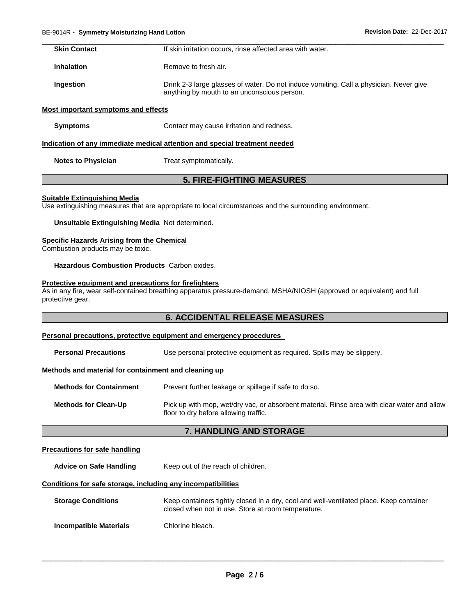| <b>Skin Contact</b>                 | If skin irritation occurs, rinse affected area with water.                                                                            |
|-------------------------------------|---------------------------------------------------------------------------------------------------------------------------------------|
| <b>Inhalation</b>                   | Remove to fresh air.                                                                                                                  |
| Ingestion                           | Drink 2-3 large glasses of water. Do not induce vomiting. Call a physician. Never give<br>anything by mouth to an unconscious person. |
| Most important symptoms and effects |                                                                                                                                       |

**Symptoms Contact may cause irritation and redness.** 

#### **Indication of any immediate medical attention and special treatment needed**

**Notes to Physician Treat symptomatically.** 

# **5. FIRE-FIGHTING MEASURES**

#### **Suitable Extinguishing Media**

Use extinguishing measures that are appropriate to local circumstances and the surrounding environment.

**Unsuitable Extinguishing Media** Not determined.

#### **Specific Hazards Arising from the Chemical**

Combustion products may be toxic.

**Hazardous Combustion Products** Carbon oxides.

# **Protective equipment and precautions for firefighters**

As in any fire, wear self-contained breathing apparatus pressure-demand, MSHA/NIOSH (approved or equivalent) and full protective gear.

## **6. ACCIDENTAL RELEASE MEASURES**

#### **Personal precautions, protective equipment and emergency procedures**

| <b>Personal Precautions</b>                          | Use personal protective equipment as required. Spills may be slippery.                                                               |  |  |
|------------------------------------------------------|--------------------------------------------------------------------------------------------------------------------------------------|--|--|
| Methods and material for containment and cleaning up |                                                                                                                                      |  |  |
| <b>Methods for Containment</b>                       | Prevent further leakage or spillage if safe to do so.                                                                                |  |  |
| <b>Methods for Clean-Up</b>                          | Pick up with mop, wet/dry vac, or absorbent material. Rinse area with clear water and allow<br>floor to dry before allowing traffic. |  |  |

## **7. HANDLING AND STORAGE**

## **Precautions for safe handling**

Advice on Safe Handling **Keep out of the reach of children.** 

## **Conditions for safe storage, including any incompatibilities**

| <b>Storage Conditions</b> | Keep containers tightly closed in a dry, cool and well-ventilated place. Keep container<br>closed when not in use. Store at room temperature. |
|---------------------------|-----------------------------------------------------------------------------------------------------------------------------------------------|
| Incompatible Materials    | Chlorine bleach.                                                                                                                              |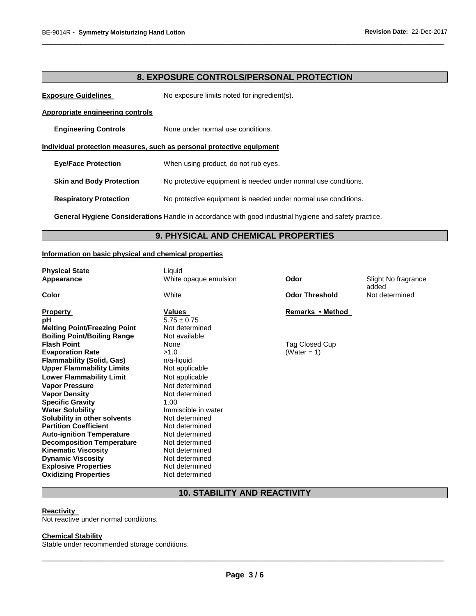# **8. EXPOSURE CONTROLS/PERSONAL PROTECTION**

\_\_\_\_\_\_\_\_\_\_\_\_\_\_\_\_\_\_\_\_\_\_\_\_\_\_\_\_\_\_\_\_\_\_\_\_\_\_\_\_\_\_\_\_\_\_\_\_\_\_\_\_\_\_\_\_\_\_\_\_\_\_\_\_\_\_\_\_\_\_\_\_\_\_\_\_\_\_\_\_\_\_\_\_\_\_\_\_\_\_\_\_\_

**Exposure Guidelines** No exposure limits noted for ingredient(s).

#### **Appropriate engineering controls**

**Engineering Controls None under normal use conditions.** 

**Individual protection measures, such as personal protective equipment**

**Eye/Face Protection** When using product, do not rub eyes.

**Skin and Body Protection** No protective equipment is needed under normal use conditions.

**Respiratory Protection** No protective equipment is needed under normal use conditions.

**General Hygiene Considerations** Handle in accordance with good industrial hygiene and safety practice.

# **9. PHYSICAL AND CHEMICAL PROPERTIES**

#### **Information on basic physical and chemical properties**

| <b>Physical State</b><br>Appearance | Liquid<br>White opaque emulsion | Odor                  | Slight No fragrance<br>added |
|-------------------------------------|---------------------------------|-----------------------|------------------------------|
| Color                               | White                           | <b>Odor Threshold</b> | Not determined               |
| <b>Property</b>                     | Values                          | Remarks • Method      |                              |
| рH                                  | $5.75 \pm 0.75$                 |                       |                              |
| <b>Melting Point/Freezing Point</b> | Not determined                  |                       |                              |
| <b>Boiling Point/Boiling Range</b>  | Not available                   |                       |                              |
| <b>Flash Point</b>                  | None                            | Tag Closed Cup        |                              |
| <b>Evaporation Rate</b>             | >1.0                            | (Water = 1)           |                              |
| <b>Flammability (Solid, Gas)</b>    | $n/a$ -liquid                   |                       |                              |
| <b>Upper Flammability Limits</b>    | Not applicable                  |                       |                              |
| <b>Lower Flammability Limit</b>     | Not applicable                  |                       |                              |
| <b>Vapor Pressure</b>               | Not determined                  |                       |                              |
| <b>Vapor Density</b>                | Not determined                  |                       |                              |
| <b>Specific Gravity</b>             | 1.00                            |                       |                              |
| <b>Water Solubility</b>             | Immiscible in water             |                       |                              |
| Solubility in other solvents        | Not determined                  |                       |                              |
| <b>Partition Coefficient</b>        | Not determined                  |                       |                              |
| <b>Auto-ignition Temperature</b>    | Not determined                  |                       |                              |
| <b>Decomposition Temperature</b>    | Not determined                  |                       |                              |
| <b>Kinematic Viscosity</b>          | Not determined                  |                       |                              |
| <b>Dynamic Viscosity</b>            | Not determined                  |                       |                              |
| <b>Explosive Properties</b>         | Not determined                  |                       |                              |
| <b>Oxidizing Properties</b>         | Not determined                  |                       |                              |

# **10. STABILITY AND REACTIVITY**

#### **Reactivity**

Not reactive under normal conditions.

#### **Chemical Stability**

Stable under recommended storage conditions.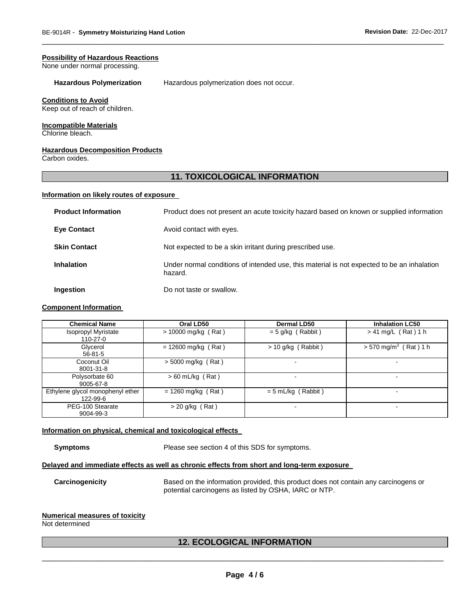#### **Possibility of Hazardous Reactions**

None under normal processing.

#### **Hazardous Polymerization** Hazardous polymerization does not occur.

#### **Conditions to Avoid**

Keep out of reach of children.

#### **Incompatible Materials**

Chlorine bleach.

## **Hazardous Decomposition Products**

Carbon oxides.

# **11. TOXICOLOGICAL INFORMATION**

\_\_\_\_\_\_\_\_\_\_\_\_\_\_\_\_\_\_\_\_\_\_\_\_\_\_\_\_\_\_\_\_\_\_\_\_\_\_\_\_\_\_\_\_\_\_\_\_\_\_\_\_\_\_\_\_\_\_\_\_\_\_\_\_\_\_\_\_\_\_\_\_\_\_\_\_\_\_\_\_\_\_\_\_\_\_\_\_\_\_\_\_\_

#### **Information on likely routes of exposure**

| <b>Product Information</b> | Product does not present an acute toxicity hazard based on known or supplied information              |
|----------------------------|-------------------------------------------------------------------------------------------------------|
| <b>Eve Contact</b>         | Avoid contact with eyes.                                                                              |
| <b>Skin Contact</b>        | Not expected to be a skin irritant during prescribed use.                                             |
| <b>Inhalation</b>          | Under normal conditions of intended use, this material is not expected to be an inhalation<br>hazard. |
| Ingestion                  | Do not taste or swallow.                                                                              |

#### **Component Information**

| <b>Chemical Name</b>                         | Oral LD50             | <b>Dermal LD50</b>   | <b>Inhalation LC50</b>              |
|----------------------------------------------|-----------------------|----------------------|-------------------------------------|
| <b>Isopropyl Myristate</b><br>$110-27-0$     | $> 10000$ mg/kg (Rat) | $= 5$ g/kg (Rabbit)  | $> 41$ mg/L (Rat) 1 h               |
| Glycerol<br>$56 - 81 - 5$                    | $= 12600$ mg/kg (Rat) | $> 10$ g/kg (Rabbit) | $> 570$ mg/m <sup>3</sup> (Rat) 1 h |
| Coconut Oil<br>8001-31-8                     | > 5000 mg/kg (Rat)    | -                    | -                                   |
| Polysorbate 60<br>9005-67-8                  | $> 60$ mL/kg (Rat)    |                      | $\blacksquare$                      |
| Ethylene glycol monophenyl ether<br>122-99-6 | $= 1260$ mg/kg (Rat)  | $= 5$ mL/kg (Rabbit) | $\blacksquare$                      |
| PEG-100 Stearate<br>9004-99-3                | $>$ 20 g/kg (Rat)     |                      | -                                   |

## **Information on physical, chemical and toxicological effects**

**Symptoms** Please see section 4 of this SDS for symptoms.

#### **Delayed and immediate effects as well as chronic effects from short and long-term exposure**

**Carcinogenicity** Based on the information provided, this product does not contain any carcinogens or potential carcinogens as listed by OSHA, IARC or NTP.

## **Numerical measures of toxicity**

Not determined

# \_\_\_\_\_\_\_\_\_\_\_\_\_\_\_\_\_\_\_\_\_\_\_\_\_\_\_\_\_\_\_\_\_\_\_\_\_\_\_\_\_\_\_\_\_\_\_\_\_\_\_\_\_\_\_\_\_\_\_\_\_\_\_\_\_\_\_\_\_\_\_\_\_\_\_\_\_\_\_\_\_\_\_\_\_\_\_\_\_\_\_\_\_ **12. ECOLOGICAL INFORMATION**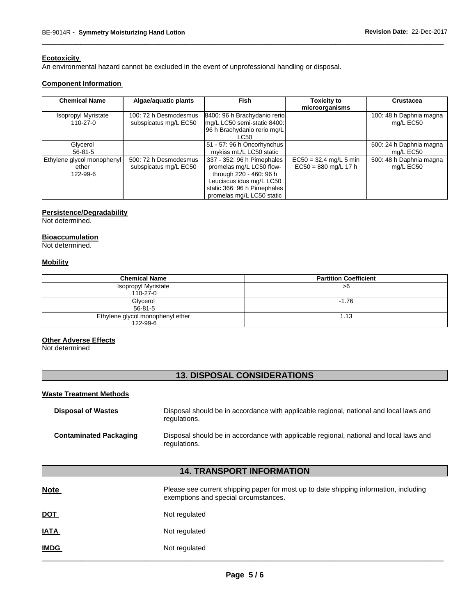# **Ecotoxicity**

An environmental hazard cannot be excluded in the event of unprofessional handling or disposal.

#### **Component Information**

| <b>Chemical Name</b>                            | Algae/aquatic plants                           | Fish                                                                                                                                                                      | <b>Toxicity to</b><br>microorganisms               | <b>Crustacea</b>                     |
|-------------------------------------------------|------------------------------------------------|---------------------------------------------------------------------------------------------------------------------------------------------------------------------------|----------------------------------------------------|--------------------------------------|
| <b>Isopropyl Myristate</b><br>$110-27-0$        | 100: 72 h Desmodesmus<br>subspicatus mg/L EC50 | 8400: 96 h Brachydanio rerio<br>mg/L LC50 semi-static 8400:<br>96 h Brachydanio rerio mg/L<br>LC50                                                                        |                                                    | 100: 48 h Daphnia magna<br>mg/L EC50 |
| Glycerol<br>$56 - 81 - 5$                       |                                                | 51 - 57: 96 h Oncorhynchus<br>mykiss mL/L LC50 static                                                                                                                     |                                                    | 500: 24 h Daphnia magna<br>mg/L EC50 |
| Ethylene glycol monophenyl<br>ether<br>122-99-6 | 500: 72 h Desmodesmus<br>subspicatus mg/L EC50 | 337 - 352: 96 h Pimephales<br>promelas mg/L LC50 flow-<br>through 220 - 460: 96 h<br>Leuciscus idus mg/L LC50<br>static 366: 96 h Pimephales<br>promelas mg/L LC50 static | $EC50 = 32.4$ mg/L 5 min<br>$EC50 = 880$ mg/L 17 h | 500: 48 h Daphnia magna<br>mg/L EC50 |

\_\_\_\_\_\_\_\_\_\_\_\_\_\_\_\_\_\_\_\_\_\_\_\_\_\_\_\_\_\_\_\_\_\_\_\_\_\_\_\_\_\_\_\_\_\_\_\_\_\_\_\_\_\_\_\_\_\_\_\_\_\_\_\_\_\_\_\_\_\_\_\_\_\_\_\_\_\_\_\_\_\_\_\_\_\_\_\_\_\_\_\_\_

## **Persistence/Degradability**

Not determined.

## **Bioaccumulation**

Not determined.

#### **Mobility**

| <b>Chemical Name</b>             | <b>Partition Coefficient</b> |
|----------------------------------|------------------------------|
| Isopropyl Myristate              | >6                           |
| $110 - 27 - 0$                   |                              |
| Glycerol                         | $-1.76$                      |
| $56 - 81 - 5$                    |                              |
| Ethylene glycol monophenyl ether | 1.13                         |
| 122-99-6                         |                              |

## **Other Adverse Effects**

Not determined

# **13. DISPOSAL CONSIDERATIONS**

## **Waste Treatment Methods**

| <b>Disposal of Wastes</b>     | Disposal should be in accordance with applicable regional, national and local laws and<br>regulations. |
|-------------------------------|--------------------------------------------------------------------------------------------------------|
| <b>Contaminated Packaging</b> | Disposal should be in accordance with applicable regional, national and local laws and<br>regulations. |

# **14. TRANSPORT INFORMATION**

| <b>Note</b> | Please see current shipping paper for most up to date shipping information, including<br>exemptions and special circumstances. |
|-------------|--------------------------------------------------------------------------------------------------------------------------------|
| <u>DOT</u>  | Not regulated                                                                                                                  |
| <b>IATA</b> | Not regulated                                                                                                                  |
| <b>IMDG</b> | Not regulated                                                                                                                  |